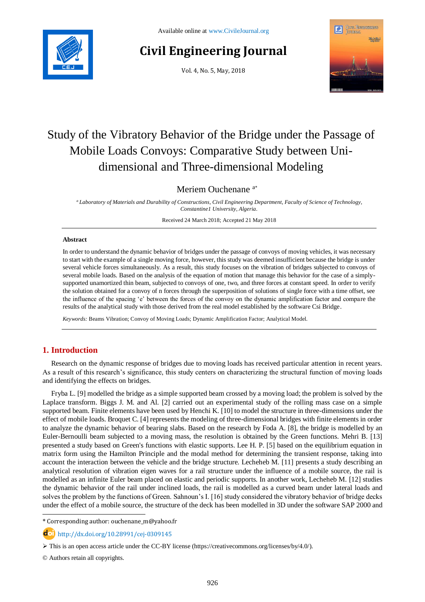

# **Civil Engineering Journal**

Vol. 4, No. 5, May, 2018



# Study of the Vibratory Behavior of the Bridge under the Passage of Mobile Loads Convoys: Comparative Study between Unidimensional and Three-dimensional Modeling

Meriem Ouchenane <sup>a</sup>\*

*<sup>a</sup> Laboratory of Materials and Durability of Constructions, Civil Engineering Department, Faculty of Science of Technology, Constantine1 University, Algeria.*

Received 24 March 2018; Accepted 21 May 2018

#### **Abstract**

In order to understand the dynamic behavior of bridges under the passage of convoys of moving vehicles, it was necessary to start with the example of a single moving force, however, this study was deemed insufficient because the bridge is under several vehicle forces simultaneously. As a result, this study focuses on the vibration of bridges subjected to convoys of several mobile loads. Based on the analysis of the equation of motion that manage this behavior for the case of a simplysupported unamortized thin beam, subjected to convoys of one, two, and three forces at constant speed. In order to verify the solution obtained for a convoy of n forces through the superposition of solutions of single force with a time offset, see the influence of the spacing 'e' between the forces of the convoy on the dynamic amplification factor and compare the results of the analytical study with those derived from the real model established by the software Csi Bridge.

*Keywords:* Beams Vibration; Convoy of Moving Loads; Dynamic Amplification Factor; Analytical Model.

# **1. Introduction**

Research on the dynamic response of bridges due to moving loads has received particular attention in recent years. As a result of this research's significance, this study centers on characterizing the structural function of moving loads and identifying the effects on bridges.

Fryba L. [9] modelled the bridge as a simple supported beam crossed by a moving load; the problem is solved by the Laplace transform. Biggs J. M. and Al. [2] carried out an experimental study of the rolling mass case on a simple supported beam. Finite elements have been used by Henchi K. [10] to model the structure in three-dimensions under the effect of mobile loads. Broquet C. [4] represents the modeling of three-dimensional bridges with finite elements in order to analyze the dynamic behavior of bearing slabs. Based on the research by Foda A. [8], the bridge is modelled by an Euler-Bernoulli beam subjected to a moving mass, the resolution is obtained by the Green functions. Mehri B. [13] presented a study based on Green's functions with elastic supports. Lee H. P. [5] based on the equilibrium equation in matrix form using the Hamilton Principle and the modal method for determining the transient response, taking into account the interaction between the vehicle and the bridge structure. Lecheheb M. [11] presents a study describing an analytical resolution of vibration eigen waves for a rail structure under the influence of a mobile source, the rail is modelled as an infinite Euler beam placed on elastic and periodic supports. In another work, Lecheheb M. [12] studies the dynamic behavior of the rail under inclined loads, the rail is modelled as a curved beam under lateral loads and solves the problem by the functions of Green. Sahnoun's I. [16] study considered the vibratory behavior of bridge decks under the effect of a mobile source, the structure of the deck has been modelled in 3D under the software SAP 2000 and

\* Corresponding author[: ouchenane\\_m@yahoo.fr](mailto:ouchenane_m@yahoo.fr)

http://dx.doi.org/10.28991/cej-0309145

© Authors retain all copyrights.

l

 $\triangleright$  This is an open access article under the CC-BY license [\(https://creativecommons.org/licenses/by/4.0/\)](https://creativecommons.org/licenses/by/4.0/).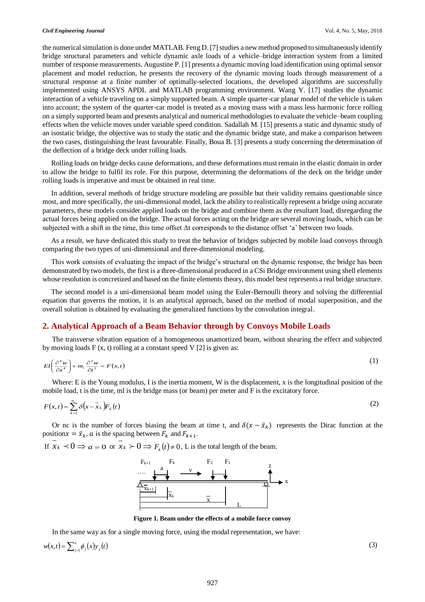the numerical simulation is done under MATLAB. Feng D. [7] studies a new method proposed to simultaneously identify bridge structural parameters and vehicle dynamic axle loads of a vehicle–bridge interaction system from a limited number of response measurements. Augustine P. [1] presents a dynamic moving load identification using optimal sensor placement and model reduction, he presents the recovery of the dynamic moving loads through measurement of a structural response at a finite number of optimally-selected locations, the developed algorithms are successfully implemented using ANSYS APDL and MATLAB programming environment. Wang Y. [17] studies the dynamic interaction of a vehicle traveling on a simply supported beam. A simple quarter-car planar model of the vehicle is taken into account; the system of the quarter-car model is treated as a moving mass with a mass less harmonic force rolling on a simply supported beam and presents analytical and numerical methodologies to evaluate the vehicle–beam coupling effects when the vehicle moves under variable speed condition. Sadallah M. [15] presents a static and dynamic study of an isostatic bridge, the objective was to study the static and the dynamic bridge state, and make a comparison between the two cases, distinguishing the least favourable. Finally, Boua B. [3] presents a study concerning the determination of the deflection of a bridge deck under rolling loads.

Rolling loads on bridge decks cause deformations, and these deformations must remain in the elastic domain in order to allow the bridge to fulfil its role. For this purpose, determining the deformations of the deck on the bridge under rolling loads is imperative and must be obtained in real time.

In addition, several methods of bridge structure modeling are possible but their validity remains questionable since most, and more specifically, the uni-dimensional model, lack the ability to realistically represent a bridge using accurate parameters, these models consider applied loads on the bridge and combine them as the resultant load, disregarding the actual forces being applied on the bridge. The actual forces acting on the bridge are several moving loads, which can be subjected with a shift in the time, this time offset Δt corresponds to the distance offset 'a' between two loads.

As a result, we have dedicated this study to treat the behavior of bridges subjected by mobile load convoys through comparing the two types of uni-dimensional and three-dimensional modeling.

This work consists of evaluating the impact of the bridge's structural on the dynamic response, the bridge has been demonstrated by two models, the first is a three-dimensional produced in a CSi Bridge environment using shell elements whose resolution is concretized and based on the finite elements theory, this model best represents a real bridge structure.

The second model is a uni-dimensional beam model using the Euler-Bernoulli theory and solving the differential equation that governs the motion, it is an analytical approach, based on the method of modal superposition, and the overall solution is obtained by evaluating the generalized functions by the convolution integral.

# **2. Analytical Approach of a Beam Behavior through by Convoys Mobile Loads**

The transverse vibration equation of a homogeneous unamortized beam, without shearing the effect and subjected by moving loads  $F(x, t)$  rolling at a constant speed V [2] is given as:

$$
EI\left(\frac{\partial^4 w}{\partial x^4}\right) + m_l \frac{\partial^2 w}{\partial t^2} = F(x,t)
$$
 (1)

Where: E is the Young modulus, I is the inertia moment, W is the displacement, x is the longitudinal position of the mobile load, t is the time, ml is the bridge mass (or beam) per meter and F is the excitatory force.

$$
F(x,t) = \sum_{k=1}^{n_c} \delta(x - \bar{x}_k) F_k(t)
$$
 (2)

Or nc is the number of forces biasing the beam at time t, and  $\delta(x - \bar{x}_k)$  represents the Dirac function at the position  $x = \bar{x}_k$ , *a* is the spacing between  $F_k$  and  $F_{k+1}$ .

If  $x_k \prec 0 \Rightarrow a = 0$  or  $x_k \succ 0 \Rightarrow F_k(t) \neq 0$ , L is the total length of the beam.



**Figure 1. Beam under the effects of a mobile force convoy**

In the same way as for a single moving force, using the modal representation, we have:

 $w(x,t) = \sum_{j=1}^{\infty} \phi_j(x) y_j(t)$ 

 $(3)$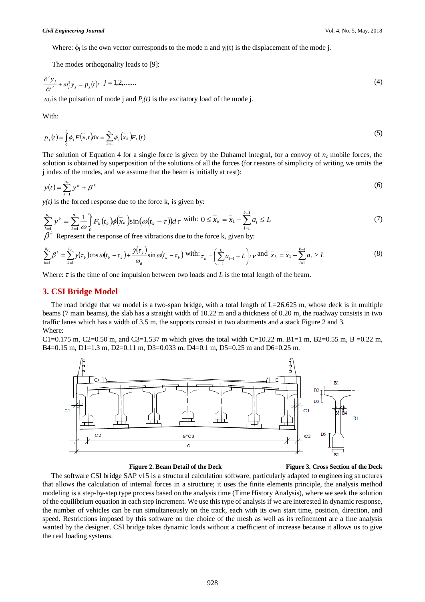Where:  $\phi_i$  is the own vector corresponds to the mode n and  $y_i(t)$  is the displacement of the mode j.

The modes orthogonality leads to [9]:

$$
\frac{\partial^2 y_j}{\partial t^2} + \omega_j^2 y_j = p_j(t), \ \ j = 1, 2, \dots \dots \tag{4}
$$

 $\omega_i$  is the pulsation of mode j and  $P_i(t)$  is the excitatory load of the mode j.

With:

$$
p_j(t) = \int_0^L \phi_j F(\bar{x}, t) dx = \sum_{k=1}^{n_c} \phi_j(\bar{x}_k) F_k(t)
$$
\n
$$
(5)
$$

The solution of Equation 4 for a single force is given by the Duhamel integral, for a convoy of  $n_c$  mobile forces, the solution is obtained by superposition of the solutions of all the forces (for reasons of simplicity of writing we omits the j index of the modes, and we assume that the beam is initially at rest):

$$
y(t) = \sum_{k=1}^{n_c} y^k + \beta^k \tag{6}
$$

 $y(t)$  is the forced response due to the force k, is given by:

$$
\sum_{k=1}^{n_c} y^k = \sum_{k=1}^{n_c} \frac{1}{\omega} \int_0^{t_k} F_k(t_k) \phi(\bar{x}_k) \sin(\omega(t_k - \tau)) d\tau \text{ with: } 0 \le \bar{x}_k = \bar{x}_1 - \sum_{l=1}^{k-1} a_l \le L \tag{7}
$$

 $\beta^k$  Represent the response of free vibrations due to the force k, given by:

$$
\sum_{k=1}^{n_c} \beta^k = \sum_{k=1}^{n_c} y(\tau_k) \cos \omega (t_k - \tau_k) + \frac{\dot{y}(\tau_k)}{\omega_d} \sin \omega (t_k - \tau_k) \text{ with: } \tau_k = \left( \sum_{l=1}^k a_{l-1} + L \right) / \nu \text{ and } \bar{x}_k = \bar{x}_1 - \sum_{l=1}^{k-1} a_l \ge L \tag{8}
$$

Where: *τ* is the time of one impulsion between two loads and *L* is the total length of the beam.

### **3. CSI Bridge Model**

The road bridge that we model is a two-span bridge, with a total length of  $L=26.625$  m, whose deck is in multiple beams (7 main beams), the slab has a straight width of 10.22 m and a thickness of 0.20 m, the roadway consists in two traffic lanes which has a width of 3.5 m, the supports consist in two abutments and a stack Figure 2 and 3. Where:

C1=0.175 m, C2=0.50 m, and C3=1.537 m which gives the total width C=10.22 m. B1=1 m, B2=0.55 m, B =0.22 m, B4=0.15 m, D1=1.3 m, D2=0.11 m, D3=0.033 m, D4=0.1 m, D5=0.25 m and D6=0.25 m.



 **Figure 2. Beam Detail of the Deck Figure 3. Cross Section of the Deck**

The software CSI bridge SAP v15 is a structural calculation software, particularly adapted to engineering structures that allows the calculation of internal forces in a structure; it uses the finite elements principle, the analysis method modeling is a step-by-step type process based on the analysis time (Time History Analysis), where we seek the solution of the equilibrium equation in each step increment. We use this type of analysis if we are interested in dynamic response, the number of vehicles can be run simultaneously on the track, each with its own start time, position, direction, and speed. Restrictions imposed by this software on the choice of the mesh as well as its refinement are a fine analysis wanted by the designer. CSI bridge takes dynamic loads without a coefficient of increase because it allows us to give the real loading systems.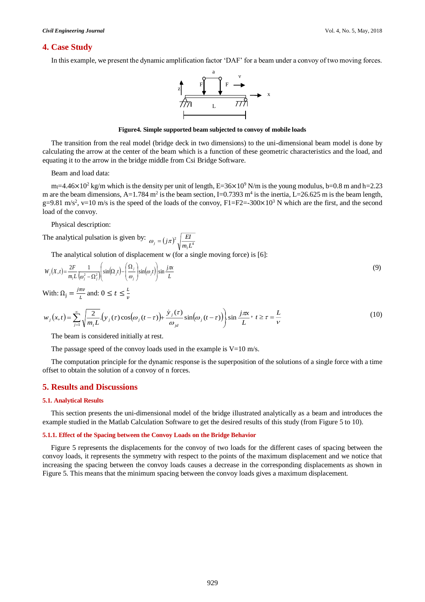### **4. Case Study**

In this example, we present the dynamic amplification factor 'DAF' for a beam under a convoy of two moving forces.



#### **Figure4. Simple supported beam subjected to convoy of mobile loads**

The transition from the real model (bridge deck in two dimensions) to the uni-dimensional beam model is done by calculating the arrow at the center of the beam which is a function of these geometric characteristics and the load, and equating it to the arrow in the bridge middle from Csi Bridge Software.

Beam and load data:

m<sub>i</sub>=4.46×10<sup>2</sup> kg/m which is the density per unit of length, E=36×10<sup>9</sup> N/m is the young modulus, b=0.8 m and h=2.23 m are the beam dimensions, A=1.784 m<sup>2</sup> is the beam section, I=0.7393 m<sup>4</sup> is the inertia, L=26.625 m is the beam length, g=9.81 m/s<sup>2</sup>, v=10 m/s is the speed of the loads of the convoy,  $F1=F2=-300\times10^{3}$  N which are the first, and the second load of the convoy.

Physical description:

The analytical pulsation is given by:  $\omega_j = (j\pi)^2 \sqrt{\frac{EI}{mI^4}}$  $j\pi$ <sup>2</sup>  $\sqrt{\frac{EI}{m_{i}L^{4}}}$  $\omega_j = (j\pi)^2 \sqrt{\frac{E}{m_j}}$ 

The analytical solution of displacement w (for a single moving force) is [6]:

$$
W_j(X,t) = \frac{2F}{m_i L} \frac{1}{(\omega_j^2 - \Omega_j^2)} \left( \sin(\Omega_j t) - \left( \frac{\Omega_j}{\omega_j} \right) \sin(\omega_j t) \right) \sin \frac{j\pi x}{L}
$$
(9)

With:  $\Omega_{\rm j} = \frac{j\pi v}{l}$  $\frac{\pi v}{L}$  and:  $0 \le t \le \frac{L}{v}$  $\boldsymbol{v}$ 

$$
w_j(x,t) = \sum_{j=1}^{\infty} \sqrt{\frac{2}{m_j L}} \cdot (y_j(\tau) \cos(\omega_j(t-\tau)) + \frac{\dot{y}_j(\tau)}{\omega_{jd}} \sin(\omega_j(t-\tau)) \cdot \sin\frac{j\pi x}{L}, \ t \ge \tau = \frac{L}{\nu}
$$
(10)

The beam is considered initially at rest.

The passage speed of the convoy loads used in the example is  $V=10$  m/s.

The computation principle for the dynamic response is the superposition of the solutions of a single force with a time offset to obtain the solution of a convoy of n forces.

# **5. Results and Discussions**

#### **5.1. Analytical Results**

This section presents the uni-dimensional model of the bridge illustrated analytically as a beam and introduces the example studied in the Matlab Calculation Software to get the desired results of this study (from Figure 5 to 10).

#### **5.1.1. Effect of the Spacing between the Convoy Loads on the Bridge Behavior**

Figure 5 represents the displacements for the convoy of two loads for the different cases of spacing between the convoy loads, it represents the symmetry with respect to the points of the maximum displacement and we notice that increasing the spacing between the convoy loads causes a decrease in the corresponding displacements as shown in Figure 5. This means that the minimum spacing between the convoy loads gives a maximum displacement.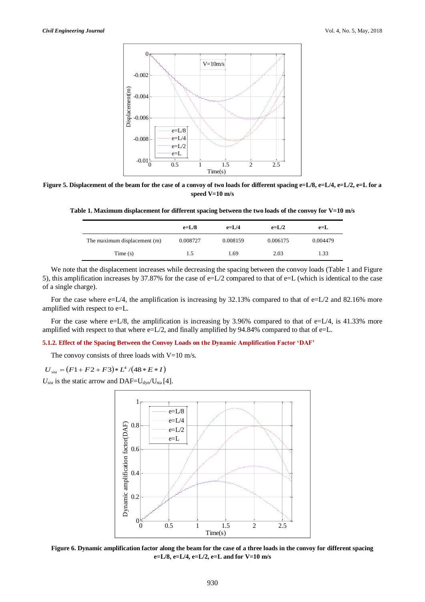

**Figure** 5. Displacement of the beam for the case of a convoy of two loads for different spacing e=L/8, e=L/4, e=L/2, e=L for a **speed V=10 m/s**

**Table 1. Maximum displacement for different spacing between the two loads of the convoy for V=10 m/s**

|                              | $e=L/8$  | $e=I/4$  | $e=L/2$  | $e=$ L   |
|------------------------------|----------|----------|----------|----------|
| The maximum displacement (m) | 0.008727 | 0.008159 | 0.006175 | 0.004479 |
| Time $(s)$                   | 1.5      | 1.69     | 2.03     | 1.33     |

We note that the displacement increases while decreasing the spacing between the convoy loads (Table 1 and Figure 5), this amplification increases by 37.87% for the case of  $e=L/2$  compared to that of  $e=L$  (which is identical to the case of a single charge).

For the case where e=L/4, the amplification is increasing by 32.13% compared to that of e=L/2 and 82.16% more amplified with respect to e=L.

For the case where  $e=L/8$ , the amplification is increasing by 3.96% compared to that of  $e=L/4$ , is 41.33% more amplified with respect to that where e=L/2, and finally amplified by 94.84% compared to that of e=L.

#### **5.1.2. Effect of the Spacing Between the Convoy Loads on the Dynamic Amplification Factor 'DAF'**

The convoy consists of three loads with  $V=10$  m/s.

 $U_{sta} = (F1 + F2 + F3) * L^4 / (48 * E * I)$ 

 $U_{sta}$  is the static arrow and DAF= $U_{dyn}/U_{sta}$  [4].



**Figure 6. Dynamic amplification factor along the beam for the case of a three loads in the convoy for different spacing e=L/8, e=L/4, e=L/2, e=L and for V=10 m/s**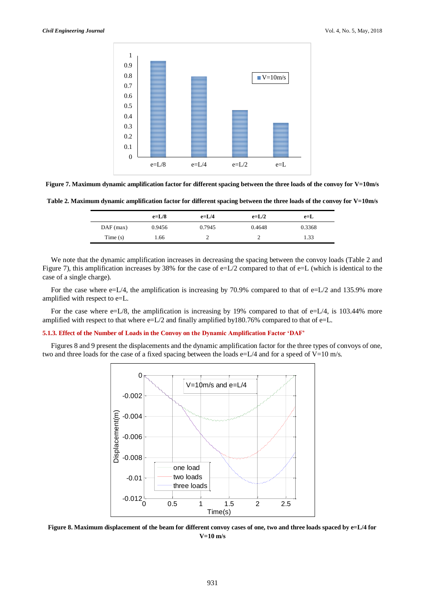

**Figure 7. Maximum dynamic amplification factor for different spacing between the three loads of the convoy for V=10m/s**

**Table 2. Maximum dynamic amplification factor for different spacing between the three loads of the convoy for V=10m/s**

|             | $e=L/8$ | $e=L/4$ | $e=L/2$ | $e = L$ |
|-------------|---------|---------|---------|---------|
| $DAF$ (max) | 0.9456  | 0.7945  | 0.4648  | 0.3368  |
| Time(s)     | .66     | ∸       |         | 1.33    |

We note that the dynamic amplification increases in decreasing the spacing between the convoy loads (Table 2 and Figure 7), this amplification increases by 38% for the case of  $e=L/2$  compared to that of  $e=L$  (which is identical to the case of a single charge).

For the case where  $e=L/4$ , the amplification is increasing by 70.9% compared to that of  $e=L/2$  and 135.9% more amplified with respect to e=L.

For the case where e=L/8, the amplification is increasing by 19% compared to that of e=L/4, is 103.44% more amplified with respect to that where  $e=L/2$  and finally amplified by180.76% compared to that of  $e=L$ .

#### **5.1.3. Effect of the Number of Loads in the Convoy on the Dynamic Amplification Factor 'DAF'**

Figures 8 and 9 present the displacements and the dynamic amplification factor for the three types of convoys of one, two and three loads for the case of a fixed spacing between the loads  $e=L/4$  and for a speed of V=10 m/s.



**Figure 8. Maximum displacement of the beam for different convoy cases of one, two and three loads spaced by e=L/4 for V=10 m/s**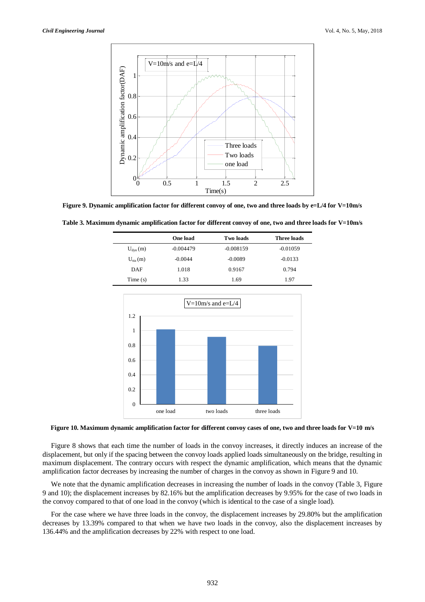

**Figure 9. Dynamic amplification factor for different convoy of one, two and three loads by e=L/4 for V=10m/s**

**Table 3. Maximum dynamic amplification factor for different convoy of one, two and three loads for V=10m/s**

|              | One load    | Two loads   | Three loads |
|--------------|-------------|-------------|-------------|
| $U_{dyn}(m)$ | $-0.004479$ | $-0.008159$ | $-0.01059$  |
| $U_{sta}(m)$ | $-0.0044$   | $-0.0089$   | $-0.0133$   |
| DAF          | 1.018       | 0.9167      | 0.794       |
| Time $(s)$   | 1.33        | 1.69        | 1.97        |



**Figure 10. Maximum dynamic amplification factor for different convoy cases of one, two and three loads for V=10 m/s**

Figure 8 shows that each time the number of loads in the convoy increases, it directly induces an increase of the displacement, but only if the spacing between the convoy loads applied loads simultaneously on the bridge, resulting in maximum displacement. The contrary occurs with respect the dynamic amplification, which means that the dynamic amplification factor decreases by increasing the number of charges in the convoy as shown in Figure 9 and 10.

We note that the dynamic amplification decreases in increasing the number of loads in the convoy (Table 3, Figure 9 and 10); the displacement increases by 82.16% but the amplification decreases by 9.95% for the case of two loads in the convoy compared to that of one load in the convoy (which is identical to the case of a single load).

For the case where we have three loads in the convoy, the displacement increases by 29.80% but the amplification decreases by 13.39% compared to that when we have two loads in the convoy, also the displacement increases by 136.44% and the amplification decreases by 22% with respect to one load.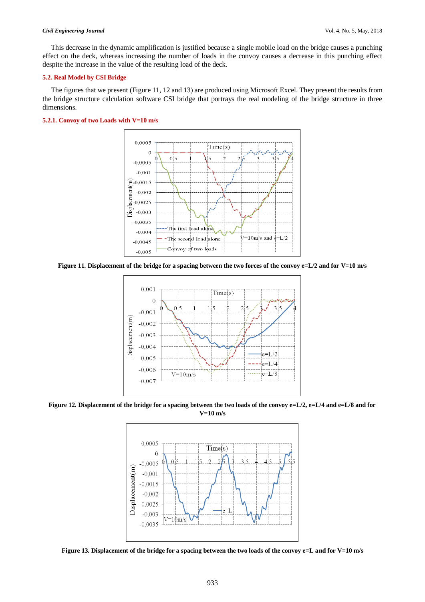#### *Civil Engineering Journal* Vol. 4, No. 5, May, 2018

This decrease in the dynamic amplification is justified because a single mobile load on the bridge causes a punching effect on the deck, whereas increasing the number of loads in the convoy causes a decrease in this punching effect despite the increase in the value of the resulting load of the deck.

#### **5.2. Real Model by CSI Bridge**

The figures that we present (Figure 11, 12 and 13) are produced using Microsoft Excel. They present the results from the bridge structure calculation software CSI bridge that portrays the real modeling of the bridge structure in three dimensions.

# **5.2.1. Convoy of two Loads with V=10 m/s**



**Figure 11. Displacement of the bridge for a spacing between the two forces of the convoy e=L/2 and for V=10 m/s**



**Figure 12. Displacement of the bridge for a spacing between the two loads of the convoy e=L/2, e=L/4 and e=L/8 and for V=10 m/s**



**Figure 13. Displacement of the bridge for a spacing between the two loads of the convoy e=L and for V=10 m/s**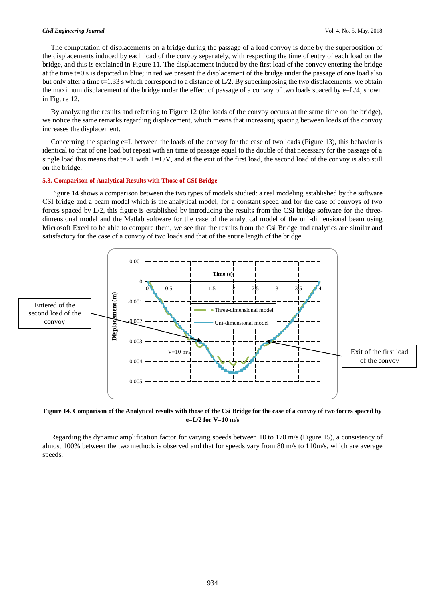#### *Civil Engineering Journal* Vol. 4, No. 5, May, 2018

The computation of displacements on a bridge during the passage of a load convoy is done by the superposition of the displacements induced by each load of the convoy separately, with respecting the time of entry of each load on the bridge, and this is explained in Figure 11. The displacement induced by the first load of the convoy entering the bridge at the time t=0 s is depicted in blue; in red we present the displacement of the bridge under the passage of one load also but only after a time t=1.33 s which correspond to a distance of  $L/2$ . By superimposing the two displacements, we obtain the maximum displacement of the bridge under the effect of passage of a convoy of two loads spaced by e=L/4, shown in Figure 12.

By analyzing the results and referring to Figure 12 (the loads of the convoy occurs at the same time on the bridge), we notice the same remarks regarding displacement, which means that increasing spacing between loads of the convoy increases the displacement.

Concerning the spacing e=L between the loads of the convoy for the case of two loads (Figure 13), this behavior is identical to that of one load but repeat with an time of passage equal to the double of that necessary for the passage of a single load this means that  $t=2T$  with  $T=L/V$ , and at the exit of the first load, the second load of the convoy is also still on the bridge.

#### **5.3. Comparison of Analytical Results with Those of CSI Bridge**

Figure 14 shows a comparison between the two types of models studied: a real modeling established by the software CSI bridge and a beam model which is the analytical model, for a constant speed and for the case of convoys of two forces spaced by L/2, this figure is established by introducing the results from the CSI bridge software for the threedimensional model and the Matlab software for the case of the analytical model of the uni-dimensional beam using Microsoft Excel to be able to compare them, we see that the results from the Csi Bridge and analytics are similar and satisfactory for the case of a convoy of two loads and that of the entire length of the bridge.



**Figure 14. Comparison of the Analytical results with those of the Csi Bridge for the case of a convoy of two forces spaced by e=L/2 for V=10 m/s**

Regarding the dynamic amplification factor for varying speeds between 10 to 170 m/s (Figure 15), a consistency of almost 100% between the two methods is observed and that for speeds vary from 80 m/s to 110m/s, which are average speeds.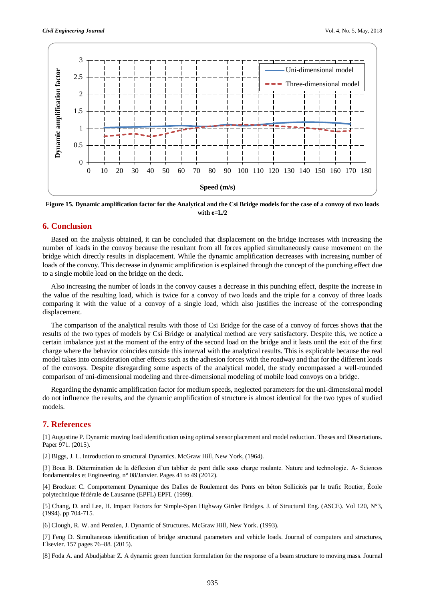

**Figure 15. Dynamic amplification factor for the Analytical and the Csi Bridge models for the case of a convoy of two loads**  with  $e=1/2$ 

### **6. Conclusion**

Based on the analysis obtained, it can be concluded that displacement on the bridge increases with increasing the number of loads in the convoy because the resultant from all forces applied simultaneously cause movement on the bridge which directly results in displacement. While the dynamic amplification decreases with increasing number of loads of the convoy. This decrease in dynamic amplification is explained through the concept of the punching effect due to a single mobile load on the bridge on the deck.

Also increasing the number of loads in the convoy causes a decrease in this punching effect, despite the increase in the value of the resulting load, which is twice for a convoy of two loads and the triple for a convoy of three loads comparing it with the value of a convoy of a single load, which also justifies the increase of the corresponding displacement.

The comparison of the analytical results with those of Csi Bridge for the case of a convoy of forces shows that the results of the two types of models by Csi Bridge or analytical method are very satisfactory. Despite this, we notice a certain imbalance just at the moment of the entry of the second load on the bridge and it lasts until the exit of the first charge where the behavior coincides outside this interval with the analytical results. This is explicable because the real model takes into consideration other effects such as the adhesion forces with the roadway and that for the different loads of the convoys. Despite disregarding some aspects of the analytical model, the study encompassed a well-rounded comparison of uni-dimensional modeling and three-dimensional modeling of mobile load convoys on a bridge.

Regarding the dynamic amplification factor for medium speeds, neglected parameters for the uni-dimensional model do not influence the results, and the dynamic amplification of structure is almost identical for the two types of studied models.

## **7. References**

[1] Augustine P. Dynamic moving load identification using optimal sensor placement and model reduction. Theses and Dissertations. Paper 971. (2015).

[2] Biggs, J. L. Introduction to structural Dynamics. McGraw Hill, New York, (1964).

[3] Boua B. Détermination de la déflexion d'un tablier de pont dalle sous charge roulante. Nature and technologie. A- Sciences fondamentales et Engineering, n° 08/Janvier. Pages 41 to 49 (2012).

[4] Brockuet C. Comportement Dynamique des Dalles de Roulement des Ponts en béton Sollicités par le trafic Routier, École polytechnique fédérale de Lausanne (EPFL) EPFL (1999).

[5] Chang, D. and Lee, H. Impact Factors for Simple-Span Highway Girder Bridges. J. of Structural Eng. (ASCE). Vol 120, N°3, (1994). pp 704-715.

[6] Clough, R. W. and Penzien, J. Dynamic of Structures. McGraw Hill, New York. (1993).

[7] Feng D. Simultaneous identification of bridge structural parameters and vehicle loads. Journal of computers and structures, Elsevier. 157 pages 76–88. (2015).

[8] Foda A. and Abudjabbar Z. A dynamic green function formulation for the response of a beam structure to moving mass. Journal